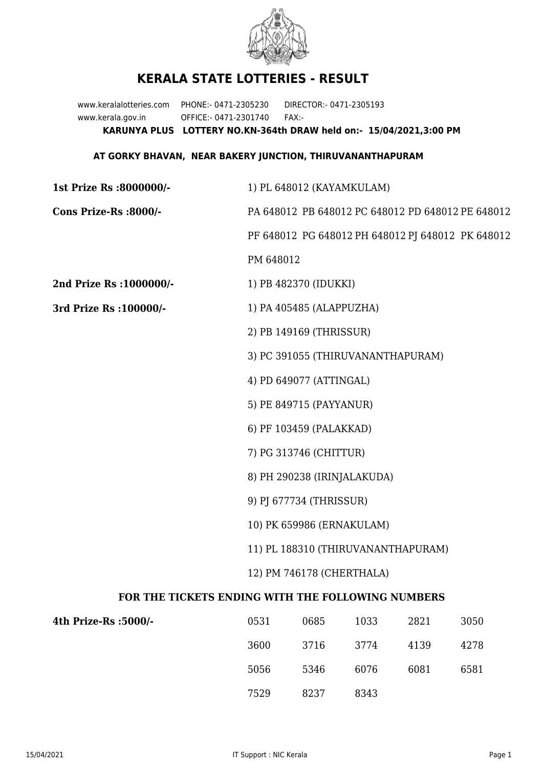

## **KERALA STATE LOTTERIES - RESULT**

www.keralalotteries.com PHONE:- 0471-2305230 DIRECTOR:- 0471-2305193 www.kerala.gov.in OFFICE:- 0471-2301740 FAX:- **KARUNYA PLUS LOTTERY NO.KN-364th DRAW held on:- 15/04/2021,3:00 PM**

## **AT GORKY BHAVAN, NEAR BAKERY JUNCTION, THIRUVANANTHAPURAM**

| 1st Prize Rs :8000000/-                           | 1) PL 648012 (KAYAMKULAM)                                       |                         |      |      |                                                   |  |  |
|---------------------------------------------------|-----------------------------------------------------------------|-------------------------|------|------|---------------------------------------------------|--|--|
| Cons Prize-Rs :8000/-                             | PA 648012 PB 648012 PC 648012 PD 648012 PE 648012               |                         |      |      |                                                   |  |  |
|                                                   |                                                                 |                         |      |      | PF 648012 PG 648012 PH 648012 PJ 648012 PK 648012 |  |  |
|                                                   | PM 648012                                                       |                         |      |      |                                                   |  |  |
| 2nd Prize Rs : 1000000/-                          | 1) PB 482370 (IDUKKI)                                           |                         |      |      |                                                   |  |  |
| 3rd Prize Rs : 100000/-                           | 1) PA 405485 (ALAPPUZHA)                                        |                         |      |      |                                                   |  |  |
|                                                   | 2) PB 149169 (THRISSUR)                                         |                         |      |      |                                                   |  |  |
|                                                   | 3) PC 391055 (THIRUVANANTHAPURAM)                               |                         |      |      |                                                   |  |  |
|                                                   | 4) PD 649077 (ATTINGAL)                                         |                         |      |      |                                                   |  |  |
|                                                   |                                                                 | 5) PE 849715 (PAYYANUR) |      |      |                                                   |  |  |
|                                                   |                                                                 | 6) PF 103459 (PALAKKAD) |      |      |                                                   |  |  |
|                                                   | 7) PG 313746 (CHITTUR)                                          |                         |      |      |                                                   |  |  |
|                                                   | 8) PH 290238 (IRINJALAKUDA)                                     |                         |      |      |                                                   |  |  |
|                                                   | 9) PJ 677734 (THRISSUR)                                         |                         |      |      |                                                   |  |  |
|                                                   | 10) PK 659986 (ERNAKULAM)<br>11) PL 188310 (THIRUVANANTHAPURAM) |                         |      |      |                                                   |  |  |
|                                                   |                                                                 |                         |      |      |                                                   |  |  |
| 12) PM 746178 (CHERTHALA)                         |                                                                 |                         |      |      |                                                   |  |  |
| FOR THE TICKETS ENDING WITH THE FOLLOWING NUMBERS |                                                                 |                         |      |      |                                                   |  |  |
| 4th Prize-Rs :5000/-                              | 0531                                                            | 0685                    | 1033 | 2821 | 3050                                              |  |  |
|                                                   | 3600                                                            | 3716                    | 3774 | 4139 | 4278                                              |  |  |

5056 5346 6076 6081 6581 7529 8237 8343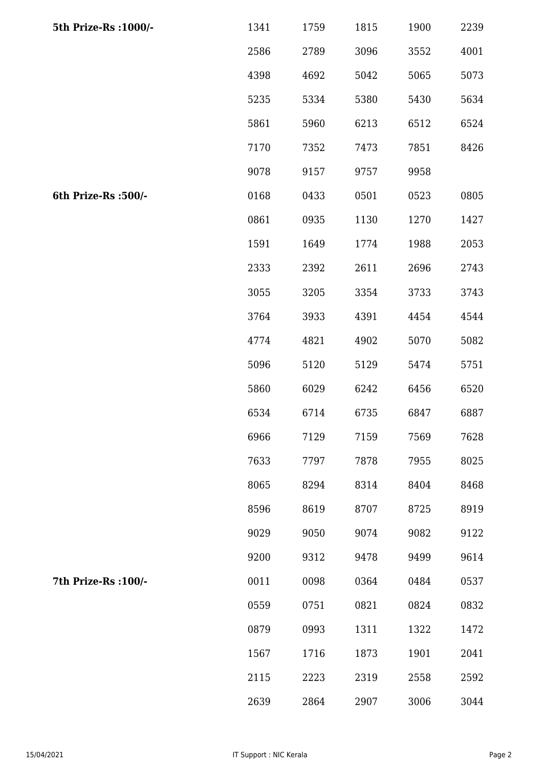| 5th Prize-Rs : 1000/- | 1341 | 1759 | 1815 | 1900 | 2239 |
|-----------------------|------|------|------|------|------|
|                       | 2586 | 2789 | 3096 | 3552 | 4001 |
|                       | 4398 | 4692 | 5042 | 5065 | 5073 |
|                       | 5235 | 5334 | 5380 | 5430 | 5634 |
|                       | 5861 | 5960 | 6213 | 6512 | 6524 |
|                       | 7170 | 7352 | 7473 | 7851 | 8426 |
|                       | 9078 | 9157 | 9757 | 9958 |      |
| 6th Prize-Rs :500/-   | 0168 | 0433 | 0501 | 0523 | 0805 |
|                       | 0861 | 0935 | 1130 | 1270 | 1427 |
|                       | 1591 | 1649 | 1774 | 1988 | 2053 |
|                       | 2333 | 2392 | 2611 | 2696 | 2743 |
|                       | 3055 | 3205 | 3354 | 3733 | 3743 |
|                       | 3764 | 3933 | 4391 | 4454 | 4544 |
|                       | 4774 | 4821 | 4902 | 5070 | 5082 |
|                       | 5096 | 5120 | 5129 | 5474 | 5751 |
|                       | 5860 | 6029 | 6242 | 6456 | 6520 |
|                       | 6534 | 6714 | 6735 | 6847 | 6887 |
|                       | 6966 | 7129 | 7159 | 7569 | 7628 |
|                       | 7633 | 7797 | 7878 | 7955 | 8025 |
|                       | 8065 | 8294 | 8314 | 8404 | 8468 |
|                       | 8596 | 8619 | 8707 | 8725 | 8919 |
|                       | 9029 | 9050 | 9074 | 9082 | 9122 |
|                       | 9200 | 9312 | 9478 | 9499 | 9614 |
| 7th Prize-Rs : 100/-  | 0011 | 0098 | 0364 | 0484 | 0537 |
|                       | 0559 | 0751 | 0821 | 0824 | 0832 |
|                       | 0879 | 0993 | 1311 | 1322 | 1472 |
|                       | 1567 | 1716 | 1873 | 1901 | 2041 |
|                       | 2115 | 2223 | 2319 | 2558 | 2592 |
|                       | 2639 | 2864 | 2907 | 3006 | 3044 |